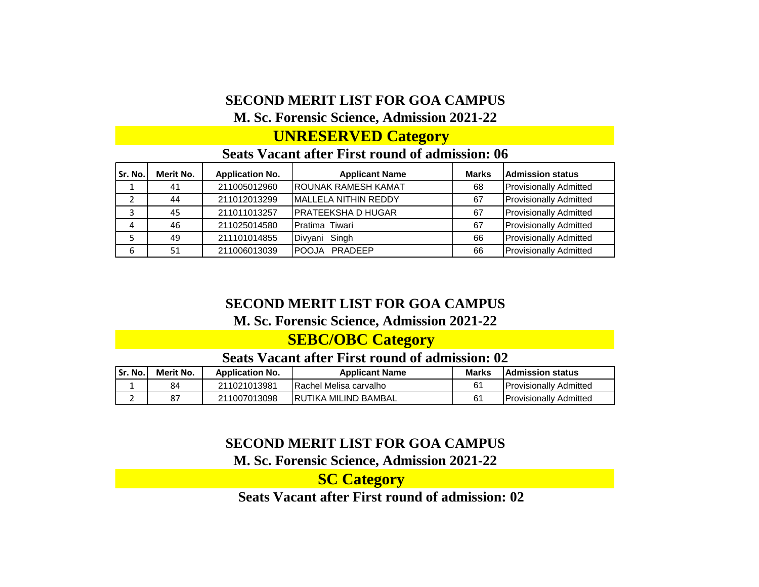## **SECOND MERIT LIST FOR GOA CAMPUS**

#### **M. Sc. Forensic Science, Admission 2021-22**

### **UNRESERVED Category**

#### **Seats Vacant after First round of admission: 06**

| Sr. No. | Merit No. | <b>Application No.</b> | <b>Applicant Name</b>      | <b>Marks</b> | <b>Admission status</b>       |
|---------|-----------|------------------------|----------------------------|--------------|-------------------------------|
|         | 41        | 211005012960           | <b>ROUNAK RAMESH KAMAT</b> | 68           | <b>Provisionally Admitted</b> |
|         | 44        | 211012013299           | MALLELA NITHIN REDDY       | 67           | <b>Provisionally Admitted</b> |
|         | 45        | 211011013257           | <b>PRATEEKSHA D HUGAR</b>  | 67           | <b>Provisionally Admitted</b> |
| 4       | 46        | 211025014580           | <b>Pratima Tiwari</b>      | 67           | <b>Provisionally Admitted</b> |
|         | 49        | 211101014855           | Divyani Singh              | 66           | <b>Provisionally Admitted</b> |
| 6       | 51        | 211006013039           | <b>IPOOJA PRADEEP</b>      | 66           | <b>Provisionally Admitted</b> |

#### **SECOND MERIT LIST FOR GOA CAMPUS**

#### **M. Sc. Forensic Science, Admission 2021-22**

## **SEBC/OBC Category**

#### **Seats Vacant after First round of admission: 02**

| l Sr. No. | Merit No. | <b>Application No.</b> | <b>Applicant Name</b>   | <b>Marks</b> | <b>IAdmission status</b>      |
|-----------|-----------|------------------------|-------------------------|--------------|-------------------------------|
|           | 84        | 211021013981           | IRachel Melisa carvalho | 61           | <b>Provisionally Admitted</b> |
|           |           | 211007013098           | IRUTIKA MILIND BAMBAL   | 61           | <b>Provisionally Admitted</b> |

### **SECOND MERIT LIST FOR GOA CAMPUS**

#### **M. Sc. Forensic Science, Admission 2021-22**

**Seats Vacant after First round of admission: 02 SC Category**